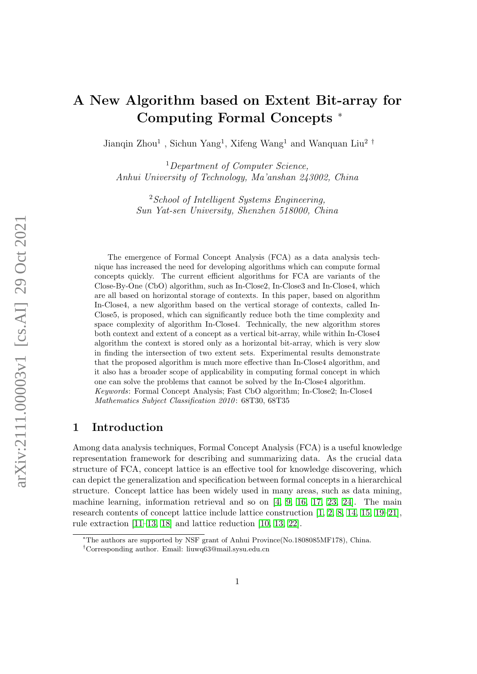# A New Algorithm based on Extent Bit-array for Computing Formal Concepts <sup>∗</sup>

Jianqin Zhou<sup>1</sup>, Sichun Yang<sup>1</sup>, Xifeng Wang<sup>1</sup> and Wanquan Liu<sup>2</sup><sup>†</sup>

<sup>1</sup> Department of Computer Science, Anhui University of Technology, Ma'anshan 243002, China

 $2$ School of Intelligent Systems Engineering, Sun Yat-sen University, Shenzhen 518000, China

The emergence of Formal Concept Analysis (FCA) as a data analysis technique has increased the need for developing algorithms which can compute formal concepts quickly. The current efficient algorithms for FCA are variants of the Close-By-One (CbO) algorithm, such as In-Close2, In-Close3 and In-Close4, which are all based on horizontal storage of contexts. In this paper, based on algorithm In-Close4, a new algorithm based on the vertical storage of contexts, called In-Close5, is proposed, which can significantly reduce both the time complexity and space complexity of algorithm In-Close4. Technically, the new algorithm stores both context and extent of a concept as a vertical bit-array, while within In-Close4 algorithm the context is stored only as a horizontal bit-array, which is very slow in finding the intersection of two extent sets. Experimental results demonstrate that the proposed algorithm is much more effective than In-Close4 algorithm, and it also has a broader scope of applicability in computing formal concept in which one can solve the problems that cannot be solved by the In-Close4 algorithm. Keywords: Formal Concept Analysis; Fast CbO algorithm; In-Close2; In-Close4 Mathematics Subject Classification 2010: 68T30, 68T35

# 1 Introduction

Among data analysis techniques, Formal Concept Analysis (FCA) is a useful knowledge representation framework for describing and summarizing data. As the crucial data structure of FCA, concept lattice is an effective tool for knowledge discovering, which can depict the generalization and specification between formal concepts in a hierarchical structure. Concept lattice has been widely used in many areas, such as data mining, machine learning, information retrieval and so on [\[4,](#page-10-0) [9,](#page-10-1) [16,](#page-11-0) [17,](#page-11-1) [23,](#page-11-2) [24\]](#page-11-3). The main research contents of concept lattice include lattice construction [\[1,](#page-10-2) [2,](#page-10-3) [8,](#page-10-4) [14,](#page-10-5) [15,](#page-11-4) [19–](#page-11-5)[21\]](#page-11-6), rule extraction [\[11–](#page-10-6)[13,](#page-10-7) [18\]](#page-11-7) and lattice reduction [\[10,](#page-10-8) [13,](#page-10-7) [22\]](#page-11-8).

<sup>∗</sup>The authors are supported by NSF grant of Anhui Province(No.1808085MF178), China.

 $^\dagger$ Corresponding author. Email: liuwq63@mail.sysu.edu.cn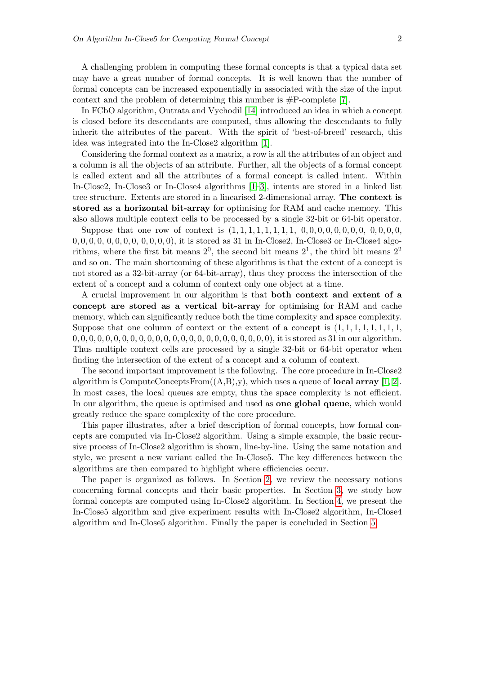A challenging problem in computing these formal concepts is that a typical data set may have a great number of formal concepts. It is well known that the number of formal concepts can be increased exponentially in associated with the size of the input context and the problem of determining this number is  $#P$ -complete [\[7\]](#page-10-9).

In FCbO algorithm, Outrata and Vychodil [\[14\]](#page-10-5) introduced an idea in which a concept is closed before its descendants are computed, thus allowing the descendants to fully inherit the attributes of the parent. With the spirit of 'best-of-breed' research, this idea was integrated into the In-Close2 algorithm [\[1\]](#page-10-2).

Considering the formal context as a matrix, a row is all the attributes of an object and a column is all the objects of an attribute. Further, all the objects of a formal concept is called extent and all the attributes of a formal concept is called intent. Within In-Close2, In-Close3 or In-Close4 algorithms [\[1–](#page-10-2)[3\]](#page-10-10), intents are stored in a linked list tree structure. Extents are stored in a linearised 2-dimensional array. The context is stored as a horizontal bit-array for optimising for RAM and cache memory. This also allows multiple context cells to be processed by a single 32-bit or 64-bit operator.

Suppose that one row of context is (1, 1, 1, 1, 1, 1, 1, 1, 0, 0, 0, 0, 0, 0, 0, 0, 0, 0, 0, 0,  $0, 0, 0, 0, 0, 0, 0, 0, 0, 0, 0, 0)$ , it is stored as 31 in In-Close2, In-Close3 or In-Close4 algorithms, where the first bit means  $2^0$ , the second bit means  $2^1$ , the third bit means  $2^2$ and so on. The main shortcoming of these algorithms is that the extent of a concept is not stored as a 32-bit-array (or 64-bit-array), thus they process the intersection of the extent of a concept and a column of context only one object at a time.

A crucial improvement in our algorithm is that both context and extent of a concept are stored as a vertical bit-array for optimising for RAM and cache memory, which can significantly reduce both the time complexity and space complexity. Suppose that one column of context or the extent of a concept is  $(1, 1, 1, 1, 1, 1, 1, 1, 1)$ 0, 0, 0, 0, 0, 0, 0, 0, 0, 0, 0, 0, 0, 0, 0, 0, 0, 0, 0, 0, 0, 0, 0, 0), it is stored as 31 in our algorithm. Thus multiple context cells are processed by a single 32-bit or 64-bit operator when finding the intersection of the extent of a concept and a column of context.

The second important improvement is the following. The core procedure in In-Close2 algorithm is ComputeConceptsFrom $((A,B),v)$ , which uses a queue of **local array** [\[1,](#page-10-2) [2\]](#page-10-3). In most cases, the local queues are empty, thus the space complexity is not efficient. In our algorithm, the queue is optimised and used as one global queue, which would greatly reduce the space complexity of the core procedure.

This paper illustrates, after a brief description of formal concepts, how formal concepts are computed via In-Close2 algorithm. Using a simple example, the basic recursive process of In-Close2 algorithm is shown, line-by-line. Using the same notation and style, we present a new variant called the In-Close5. The key differences between the algorithms are then compared to highlight where efficiencies occur.

The paper is organized as follows. In Section [2,](#page-2-0) we review the necessary notions concerning formal concepts and their basic properties. In Section [3,](#page-3-0) we study how formal concepts are computed using In-Close2 algorithm. In Section [4,](#page-6-0) we present the In-Close5 algorithm and give experiment results with In-Close2 algorithm, In-Close4 algorithm and In-Close5 algorithm. Finally the paper is concluded in Section [5.](#page-9-0)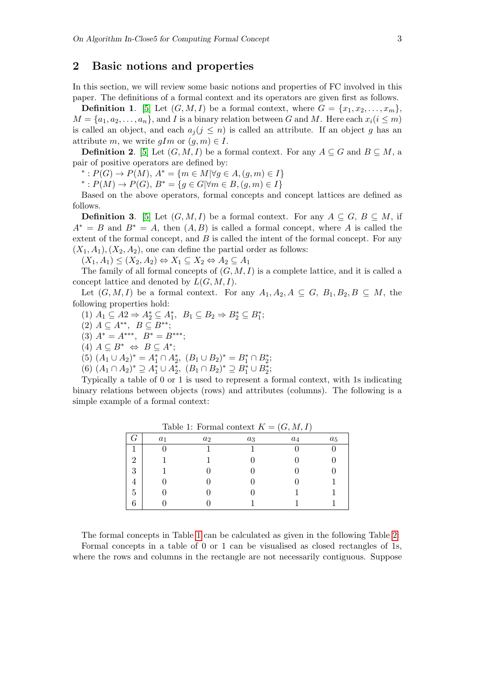## <span id="page-2-0"></span>2 Basic notions and properties

In this section, we will review some basic notions and properties of FC involved in this paper. The definitions of a formal context and its operators are given first as follows.

**Definition 1.** [\[5\]](#page-10-11) Let  $(G, M, I)$  be a formal context, where  $G = \{x_1, x_2, \ldots, x_m\}$ ,  $M = \{a_1, a_2, \ldots, a_n\}$ , and I is a binary relation between G and M. Here each  $x_i (i \leq m)$ is called an object, and each  $a_j (j \leq n)$  is called an attribute. If an object g has an attribute m, we write  $qIm$  or  $(q, m) \in I$ .

**Definition 2.** [\[5\]](#page-10-11) Let  $(G, M, I)$  be a formal context. For any  $A \subseteq G$  and  $B \subseteq M$ , a pair of positive operators are defined by:

\*:  $P(G)$  →  $P(M)$ ,  $A^* = \{m \in M | \forall g \in A, (g, m) \in I\}$ 

\*:  $P(M)$  →  $P(G)$ ,  $B^* = \{ g \in G | \forall m \in B, (g, m) \in I \}$ 

Based on the above operators, formal concepts and concept lattices are defined as follows.

**Definition 3.** [\[5\]](#page-10-11) Let  $(G, M, I)$  be a formal context. For any  $A \subseteq G$ ,  $B \subseteq M$ , if  $A^* = B$  and  $B^* = A$ , then  $(A, B)$  is called a formal concept, where A is called the extent of the formal concept, and  $B$  is called the intent of the formal concept. For any  $(X_1, A_1), (X_2, A_2)$ , one can define the partial order as follows:

 $(X_1, A_1) \le (X_2, A_2) \Leftrightarrow X_1 \subseteq X_2 \Leftrightarrow A_2 \subseteq A_1$ 

The family of all formal concepts of  $(G, M, I)$  is a complete lattice, and it is called a concept lattice and denoted by  $L(G, M, I)$ .

Let  $(G, M, I)$  be a formal context. For any  $A_1, A_2, A \subseteq G$ ,  $B_1, B_2, B \subseteq M$ , the following properties hold:

- (1)  $A_1 \subseteq A_2 \Rightarrow A_2^* \subseteq A_1^*, B_1 \subseteq B_2 \Rightarrow B_2^* \subseteq B_1^*;$
- (2)  $A \subseteq A^{**}, B \subseteq B^{**};$
- (3)  $A^* = A^{***}, B^* = B^{***};$
- (4)  $A \subseteq B^* \Leftrightarrow B \subseteq A^*;$
- (5)  $(A_1 \cup A_2)^* = A_1^* \cap A_2^*, (B_1 \cup B_2)^* = B_1^* \cap B_2^*;$
- (6)  $(A_1 \cap A_2)^* \supseteq A_1^* \cup A_2^*, (B_1 \cap B_2)^* \supseteq B_1^* \cup B_2^*;$

Typically a table of 0 or 1 is used to represent a formal context, with 1s indicating binary relations between objects (rows) and attributes (columns). The following is a simple example of a formal context:

| Ч.             | $a_1$ | $a_2$ | $a_3$ | $a_4$ | $a_5$ |
|----------------|-------|-------|-------|-------|-------|
|                |       |       |       |       |       |
| $\overline{2}$ |       |       |       |       |       |
| 3              |       |       |       |       |       |
| 4              |       |       |       |       |       |
| 5              |       |       |       |       |       |
| 6              |       |       |       |       |       |

<span id="page-2-1"></span>Table 1: Formal context  $K = (G, M, I)$ 

The formal concepts in Table [1](#page-2-1) can be calculated as given in the following Table [2:](#page-3-1) Formal concepts in a table of 0 or 1 can be visualised as closed rectangles of 1s, where the rows and columns in the rectangle are not necessarily contiguous. Suppose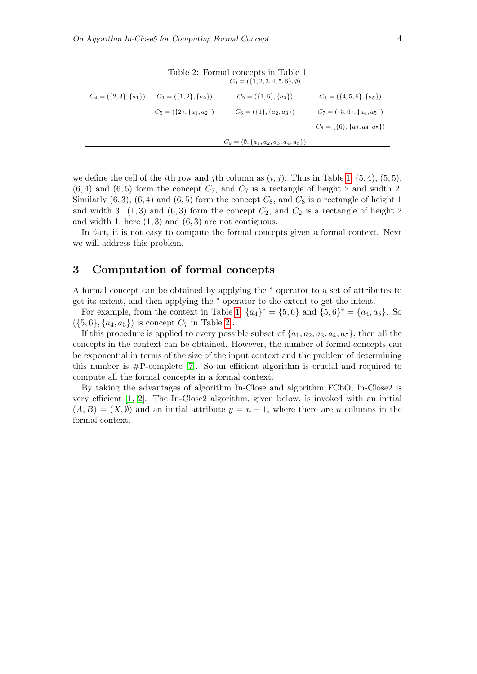| Table 2: Formal concepts in Table 1 |                                                       |                                                  |                                    |  |
|-------------------------------------|-------------------------------------------------------|--------------------------------------------------|------------------------------------|--|
|                                     |                                                       | $C_0 = (\{1, 2, 3, 4, 5, 6\}, \emptyset)$        |                                    |  |
|                                     | $C_4 = (\{2,3\}, \{a_1\})$ $C_3 = (\{1,2\}, \{a_2\})$ | $C_2 = (\{1,6\}, \{a_3\})$                       | $C_1 = (\{4, 5, 6\}, \{a_5\})$     |  |
|                                     | $C_5 = (\{2\}, \{a_1, a_2\})$                         | $C_6 = (\{1\}, \{a_2, a_3\})$                    | $C_7 = (\{5,6\}, \{a_4, a_5\})$    |  |
|                                     |                                                       |                                                  | $C_8 = (\{6\}, \{a_3, a_4, a_5\})$ |  |
|                                     |                                                       | $C_9 = (\emptyset, \{a_1, a_2, a_3, a_4, a_5\})$ |                                    |  |

<span id="page-3-1"></span>Table 2: Formal concepts in Table 1

we define the cell of the *i*th row and *j*th column as  $(i, j)$ . Thus in Table [1,](#page-2-1) (5, 4), (5, 5),  $(6, 4)$  and  $(6, 5)$  form the concept  $C_7$ , and  $C_7$  is a rectangle of height 2 and width 2. Similarly  $(6, 3)$ ,  $(6, 4)$  and  $(6, 5)$  form the concept  $C_8$ , and  $C_8$  is a rectangle of height 1 and width 3.  $(1,3)$  and  $(6,3)$  form the concept  $C_2$ , and  $C_2$  is a rectangle of height 2 and width 1, here  $(1, 3)$  and  $(6, 3)$  are not contiguous.

In fact, it is not easy to compute the formal concepts given a formal context. Next we will address this problem.

#### <span id="page-3-0"></span>3 Computation of formal concepts

A formal concept can be obtained by applying the <sup>∗</sup> operator to a set of attributes to get its extent, and then applying the <sup>∗</sup> operator to the extent to get the intent.

For example, from the context in Table [1,](#page-2-1)  $\{a_4\}^* = \{5, 6\}$  and  $\{5, 6\}^* = \{a_4, a_5\}$ . So  $({5, 6}, {a<sub>4</sub>, a<sub>5</sub>})$  is concept  $C<sub>7</sub>$  in Table [2](#page-3-1).

If this procedure is applied to every possible subset of  $\{a_1, a_2, a_3, a_4, a_5\}$ , then all the concepts in the context can be obtained. However, the number of formal concepts can be exponential in terms of the size of the input context and the problem of determining this number is #P-complete [\[7\]](#page-10-9). So an efficient algorithm is crucial and required to compute all the formal concepts in a formal context.

By taking the advantages of algorithm In-Close and algorithm FCbO, In-Close2 is very efficient [\[1,](#page-10-2) [2\]](#page-10-3). The In-Close2 algorithm, given below, is invoked with an initial  $(A, B) = (X, \emptyset)$  and an initial attribute  $y = n - 1$ , where there are n columns in the formal context.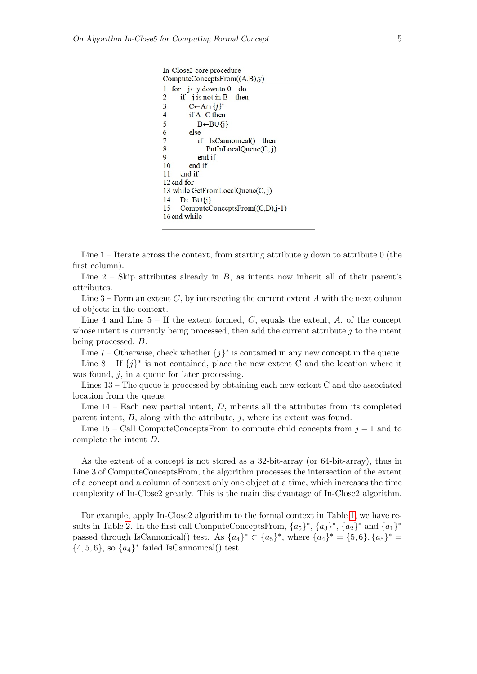```
In-Close2 core procedure
ComputeConceptsFrom((A,B),y)1 for j \leftarrow y downto 0
                           do
      if j is not in B
                          then
2
         C←A∩ \{j\}^*3
\overline{\mathbf{4}}if A=C then5
            B \leftarrow B \cup \{j\}6
         else
\overline{7}if IsCannonical() then
8
               PutInLocalQueue(C, j)9
            end if
10
         end if
      end if
11
12 end for
13 while GetFromLocalQueue(C, j)
14
      D \leftarrow B \cup \{i\}ComputeConceptsFrom((C,D),j-1)15
16 end while
```
Line  $1$  – Iterate across the context, from starting attribute y down to attribute 0 (the first column).

Line  $2$  – Skip attributes already in  $B$ , as intents now inherit all of their parent's attributes.

Line  $3$  – Form an extent C, by intersecting the current extent A with the next column of objects in the context.

Line 4 and Line  $5 -$  If the extent formed, C, equals the extent, A, of the concept whose intent is currently being processed, then add the current attribute  $j$  to the intent being processed, B.

Line 7 – Otherwise, check whether  ${j}^*$  is contained in any new concept in the queue. Line  $8 - If \{j\}^*$  is not contained, place the new extent C and the location where it was found,  $i$ , in a queue for later processing.

Lines 13 – The queue is processed by obtaining each new extent C and the associated location from the queue.

Line  $14$  – Each new partial intent,  $D$ , inherits all the attributes from its completed parent intent,  $B$ , along with the attribute,  $j$ , where its extent was found.

Line  $15$  – Call ComputeConceptsFrom to compute child concepts from  $j - 1$  and to complete the intent D.

As the extent of a concept is not stored as a 32-bit-array (or 64-bit-array), thus in Line 3 of ComputeConceptsFrom, the algorithm processes the intersection of the extent of a concept and a column of context only one object at a time, which increases the time complexity of In-Close2 greatly. This is the main disadvantage of In-Close2 algorithm.

For example, apply In-Close2 algorithm to the formal context in Table [1,](#page-2-1) we have re-sults in Table [2.](#page-3-1) In the first call ComputeConceptsFrom,  ${a_5}^*$ ,  ${a_3}^*$ ,  ${a_2}^*$  and  ${a_1}^*$ passed through IsCannonical() test. As  $\{a_4\}^* \subset \{a_5\}^*$ , where  $\{a_4\}^* = \{5, 6\}, \{a_5\}^* =$  $\{4, 5, 6\}$ , so  $\{a_4\}^*$  failed IsCannonical() test.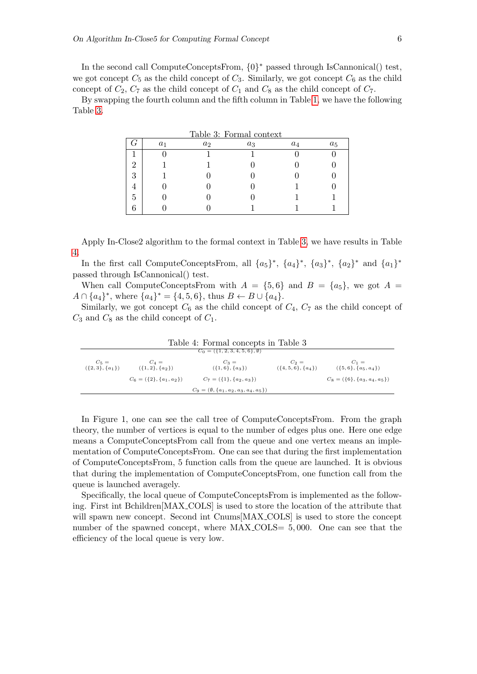In the second call ComputeConceptsFrom, {0} <sup>∗</sup> passed through IsCannonical() test, we got concept  $C_5$  as the child concept of  $C_3$ . Similarly, we got concept  $C_6$  as the child concept of  $C_2$ ,  $C_7$  as the child concept of  $C_1$  and  $C_8$  as the child concept of  $C_7$ .

By swapping the fourth column and the fifth column in Table [1,](#page-2-1) we have the following Table [3.](#page-5-0)

<span id="page-5-0"></span>

| Table 3: Formal context |       |                |       |       |       |
|-------------------------|-------|----------------|-------|-------|-------|
|                         | $a_1$ | a <sub>2</sub> | $a_3$ | $a_4$ | $a_5$ |
|                         |       |                |       |       |       |
| റ                       |       |                |       |       |       |
| 3                       |       |                |       |       |       |
|                         |       |                |       |       |       |
| 5                       |       |                |       |       |       |
|                         |       |                |       |       |       |

Apply In-Close2 algorithm to the formal context in Table [3,](#page-5-0) we have results in Table [4.](#page-5-1)

In the first call ComputeConceptsFrom, all  $\{a_5\}^*$ ,  $\{a_4\}^*$ ,  $\{a_3\}^*$ ,  $\{a_2\}^*$  and  $\{a_1\}^*$ passed through IsCannonical() test.

When call ComputeConceptsFrom with  $A = \{5, 6\}$  and  $B = \{a_5\}$ , we got  $A =$  $A \cap \{a_4\}^*$ , where  $\{a_4\}^* = \{4, 5, 6\}$ , thus  $B \leftarrow B \cup \{a_4\}$ .

Similarly, we got concept  $C_6$  as the child concept of  $C_4$ ,  $C_7$  as the child concept of  $C_3$  and  $C_8$  as the child concept of  $C_1$ .

<span id="page-5-1"></span>

| Table 4: Formal concepts in Table 3       |                               |                                                  |                                 |                                    |  |
|-------------------------------------------|-------------------------------|--------------------------------------------------|---------------------------------|------------------------------------|--|
| $C_0 = (\{1, 2, 3, 4, 5, 6\}, \emptyset)$ |                               |                                                  |                                 |                                    |  |
| $C_5 =$<br>({2, 3}, {a <sub>1</sub> })    | $C_4 =$<br>$({1, 2}, {a_2})$  | $C_3 =$<br>$({1, 6}, {a_3})$                     | $C_2 =$<br>$({6, 5, 6}, {a_4})$ | $C_1 =$<br>$({5, 6}, {a_5, a_4})$  |  |
|                                           | $C_6 = (\{2\}, \{a_1, a_2\})$ | $C_7 = (\{1\}, \{a_2, a_3\})$                    |                                 | $C_8 = (\{6\}, \{a_3, a_4, a_5\})$ |  |
|                                           |                               | $C_9 = (\emptyset, \{a_1, a_2, a_3, a_4, a_5\})$ |                                 |                                    |  |

In Figure 1, one can see the call tree of ComputeConceptsFrom. From the graph theory, the number of vertices is equal to the number of edges plus one. Here one edge means a ComputeConceptsFrom call from the queue and one vertex means an implementation of ComputeConceptsFrom. One can see that during the first implementation of ComputeConceptsFrom, 5 function calls from the queue are launched. It is obvious that during the implementation of ComputeConceptsFrom, one function call from the queue is launched averagely.

Specifically, the local queue of ComputeConceptsFrom is implemented as the following. First int Bchildren[MAX COLS] is used to store the location of the attribute that will spawn new concept. Second int Cnums[MAX\_COLS] is used to store the concept number of the spawned concept, where MAX<sub>-COLS</sub> = 5,000. One can see that the efficiency of the local queue is very low.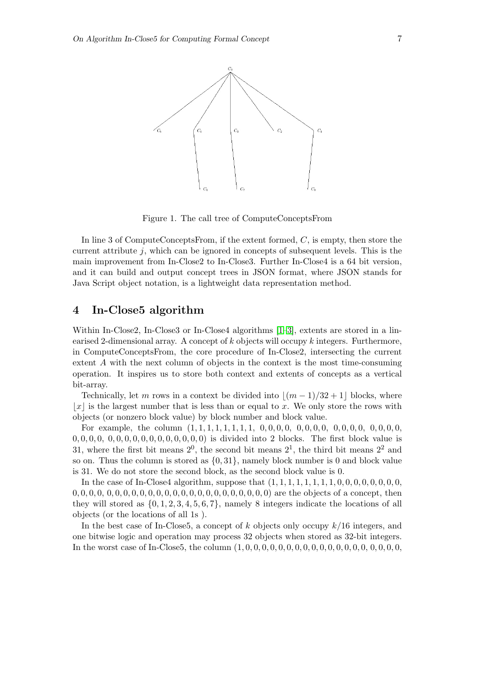

Figure 1. The call tree of ComputeConceptsFrom

In line 3 of ComputeConceptsFrom, if the extent formed, C, is empty, then store the current attribute  $i$ , which can be ignored in concepts of subsequent levels. This is the main improvement from In-Close2 to In-Close3. Further In-Close4 is a 64 bit version, and it can build and output concept trees in JSON format, where JSON stands for Java Script object notation, is a lightweight data representation method.

### <span id="page-6-0"></span>4 In-Close5 algorithm

Within In-Close2, In-Close3 or In-Close4 algorithms [\[1–](#page-10-2)[3\]](#page-10-10), extents are stored in a linearised 2-dimensional array. A concept of  $k$  objects will occupy  $k$  integers. Furthermore, in ComputeConceptsFrom, the core procedure of In-Close2, intersecting the current extent A with the next column of objects in the context is the most time-consuming operation. It inspires us to store both context and extents of concepts as a vertical bit-array.

Technically, let m rows in a context be divided into  $|(m - 1)/32 + 1|$  blocks, where  $|x|$  is the largest number that is less than or equal to x. We only store the rows with objects (or nonzero block value) by block number and block value.

For example, the column (1, 1, 1, 1, 1, 1, 1, 1, 0, 0, 0, 0, 0, 0, 0, 0, 0, 0, 0, 0, 0, 0, 0, 0, 0, 0, 0, 0, 0, 0, 0, 0, 0, 0, 0, 0, 0, 0, 0, 0) is divided into 2 blocks. The first block value is 31, where the first bit means  $2^0$ , the second bit means  $2^1$ , the third bit means  $2^2$  and so on. Thus the column is stored as  $\{0, 31\}$ , namely block number is 0 and block value is 31. We do not store the second block, as the second block value is 0.

In the case of In-Close4 algorithm, suppose that (1, 1, 1, 1, 1, 1, 1, 1, 0, 0, 0, 0, 0, 0, 0, 0, 0, 0, 0, 0, 0, 0, 0, 0, 0, 0, 0, 0, 0, 0, 0, 0, 0, 0, 0, 0, 0, 0, 0, 0) are the objects of a concept, then they will stored as  $\{0, 1, 2, 3, 4, 5, 6, 7\}$ , namely 8 integers indicate the locations of all objects (or the locations of all 1s ).

In the best case of In-Close5, a concept of k objects only occupy  $k/16$  integers, and one bitwise logic and operation may process 32 objects when stored as 32-bit integers. In the worst case of In-Close5, the column (1, 0, 0, 0, 0, 0, 0, 0, 0, 0, 0, 0, 0, 0, 0, 0, 0, 0, 0, 0,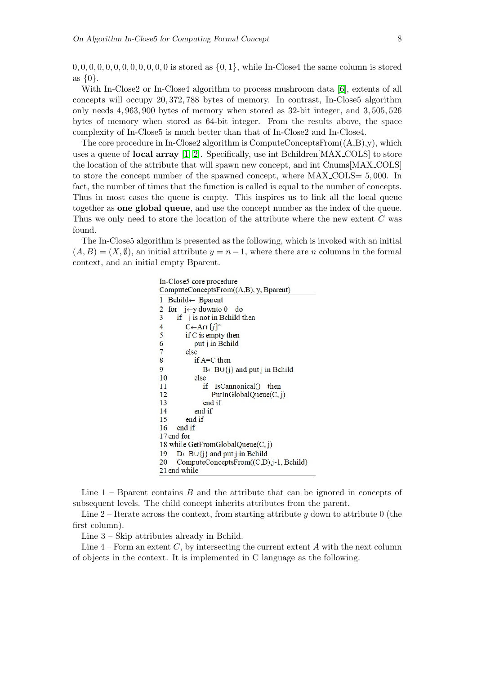$0, 0, 0, 0, 0, 0, 0, 0, 0, 0, 0$  is stored as  $\{0, 1\}$ , while In-Close4 the same column is stored as  $\{0\}$ .

With In-Close2 or In-Close4 algorithm to process mushroom data [\[6\]](#page-10-12), extents of all concepts will occupy 20, 372, 788 bytes of memory. In contrast, In-Close5 algorithm only needs 4, 963, 900 bytes of memory when stored as 32-bit integer, and 3, 505, 526 bytes of memory when stored as 64-bit integer. From the results above, the space complexity of In-Close5 is much better than that of In-Close2 and In-Close4.

The core procedure in In-Close2 algorithm is ComputeConceptsFrom $((A,B),y)$ , which uses a queue of local array [\[1,](#page-10-2) [2\]](#page-10-3). Specifically, use int Bchildren[MAX COLS] to store the location of the attribute that will spawn new concept, and int Cnums[MAX COLS] to store the concept number of the spawned concept, where MAX COLS= 5, 000. In fact, the number of times that the function is called is equal to the number of concepts. Thus in most cases the queue is empty. This inspires us to link all the local queue together as one global queue, and use the concept number as the index of the queue. Thus we only need to store the location of the attribute where the new extent C was found.

The In-Close5 algorithm is presented as the following, which is invoked with an initial  $(A, B) = (X, \emptyset)$ , an initial attribute  $y = n-1$ , where there are n columns in the formal context, and an initial empty Bparent.

> In-Close5 core procedure ComputeConceptsFrom((A,B), y, Bparent) 1 Bchild← Bparent 2 for  $j \leftarrow y$  downto 0 do if j is not in Behild then 3  $\overline{4}$  $C \leftarrow A \cap \{j\}^*$ 5 if C is empty then put j in Bchild 6  $\overline{7}$ else 8 if A=C then  $\overline{Q}$  $B \leftarrow B \cup \{j\}$  and put j in Behild 10 else 11 if IsCannonical() then 12  $PutInGlobalQueue(C, j)$ 13 end if 14 end if 15 end if end if 16 17 end for 18 while GetFromGlobalQueue(C, j)  $D \leftarrow B \cup \{j\}$  and put j in Behild 19 20 ComputeConceptsFrom((C,D),j-1, Bchild) 21 end while

Line  $1$  – B parent contains  $B$  and the attribute that can be ignored in concepts of subsequent levels. The child concept inherits attributes from the parent.

Line 2 – Iterate across the context, from starting attribute y down to attribute 0 (the first column).

Line 3 – Skip attributes already in Bchild.

Line  $4$  – Form an extent C, by intersecting the current extent A with the next column of objects in the context. It is implemented in C language as the following.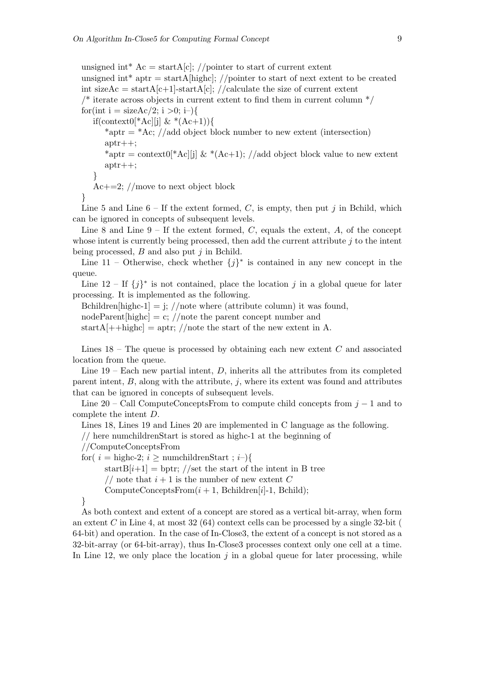unsigned int\*  $Ac = startA[c]$ ; //pointer to start of current extent unsigned int<sup>\*</sup> aptr = startA[highc]; //pointer to start of next extent to be created int sizeAc = startA[c+1]-startA[c]; //calculate the size of current extent  $\frac{1}{2}$  iterate across objects in current extent to find them in current column  $\frac{1}{2}$ for(int i = sizeAc/2; i >0; i–){ if(context0[ $Ac$ ][j] &  $(Ac+1)$ ] \*aptr =  $*$ Ac; //add object block number to new extent (intersection) aptr++; \*aptr = context0[\*Ac][j]  $\&$  \*(Ac+1); //add object block value to new extent aptr++; } Ac $+=2$ ; //move to next object block }

Line 5 and Line  $6$  – If the extent formed, C, is empty, then put j in Bchild, which can be ignored in concepts of subsequent levels.

Line 8 and Line  $9-$  If the extent formed, C, equals the extent, A, of the concept whose intent is currently being processed, then add the current attribute  $j$  to the intent being processed,  $B$  and also put  $j$  in Bchild.

Line 11 – Otherwise, check whether  ${j}^*$  is contained in any new concept in the queue.

Line  $12 -$  If  $\{j\}^*$  is not contained, place the location j in a global queue for later processing. It is implemented as the following.

Bchildren[highc-1] = j;  $//$ note where (attribute column) it was found,

 $nodeParent[highc] = c$ ; //note the parent concept number and

startA $[++highc] =$ aptr; //note the start of the new extent in A.

Lines  $18$  – The queue is processed by obtaining each new extent C and associated location from the queue.

Line  $19$  – Each new partial intent,  $D$ , inherits all the attributes from its completed parent intent,  $B$ , along with the attribute,  $j$ , where its extent was found and attributes that can be ignored in concepts of subsequent levels.

Line 20 – Call ComputeConceptsFrom to compute child concepts from  $j-1$  and to complete the intent D.

Lines 18, Lines 19 and Lines 20 are implemented in C language as the following.

// here numchildrenStart is stored as highc-1 at the beginning of

//ComputeConceptsFrom

for(  $i =$  highc-2;  $i >$  numchildrenStart ;  $i$ –){

start $B[i+1] = \text{bptr}$ ; //set the start of the intent in B tree

// note that  $i+1$  is the number of new extent C

ComputeConceptsFrom $(i + 1, \text{ Bchildren}[i]-1, \text{ Bchild});$ 

}

As both context and extent of a concept are stored as a vertical bit-array, when form an extent C in Line 4, at most  $32(64)$  context cells can be processed by a single  $32$ -bit ( 64-bit) and operation. In the case of In-Close3, the extent of a concept is not stored as a 32-bit-array (or 64-bit-array), thus In-Close3 processes context only one cell at a time. In Line 12, we only place the location  $j$  in a global queue for later processing, while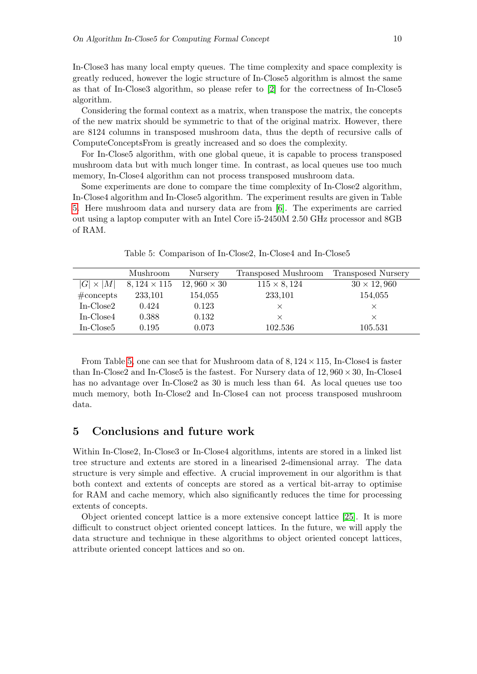In-Close3 has many local empty queues. The time complexity and space complexity is greatly reduced, however the logic structure of In-Close5 algorithm is almost the same as that of In-Close3 algorithm, so please refer to [\[2\]](#page-10-3) for the correctness of In-Close5 algorithm.

Considering the formal context as a matrix, when transpose the matrix, the concepts of the new matrix should be symmetric to that of the original matrix. However, there are 8124 columns in transposed mushroom data, thus the depth of recursive calls of ComputeConceptsFrom is greatly increased and so does the complexity.

For In-Close5 algorithm, with one global queue, it is capable to process transposed mushroom data but with much longer time. In contrast, as local queues use too much memory, In-Close4 algorithm can not process transposed mushroom data.

Some experiments are done to compare the time complexity of In-Close2 algorithm, In-Close4 algorithm and In-Close5 algorithm. The experiment results are given in Table [5.](#page-9-1) Here mushroom data and nursery data are from [\[6\]](#page-10-12). The experiments are carried out using a laptop computer with an Intel Core i5-2450M 2.50 GHz processor and 8GB of RAM.

|                     | Mushroom           | Nursery            | Transposed Mushroom | Transposed Nursery |
|---------------------|--------------------|--------------------|---------------------|--------------------|
| $ G \times M $      | $8,124 \times 115$ | $12,960 \times 30$ | $115 \times 8, 124$ | $30 \times 12,960$ |
| $# \text{concepts}$ | 233,101            | 154,055            | 233,101             | 154,055            |
| $In-Close2$         | 0.424              | 0.123              | X                   | $\times$           |
| In-Close4           | 0.388              | 0.132              | $\times$            | $\times$           |
| In-Close5           | 0.195              | 0.073              | 102.536             | 105.531            |
|                     |                    |                    |                     |                    |

<span id="page-9-1"></span>Table 5: Comparison of In-Close2, In-Close4 and In-Close5

From Table [5,](#page-9-1) one can see that for Mushroom data of  $8,124 \times 115$ , In-Close4 is faster than In-Close2 and In-Close5 is the fastest. For Nursery data of  $12,960 \times 30$ , In-Close4 has no advantage over In-Close2 as 30 is much less than 64. As local queues use too much memory, both In-Close2 and In-Close4 can not process transposed mushroom data.

# <span id="page-9-0"></span>5 Conclusions and future work

Within In-Close2, In-Close3 or In-Close4 algorithms, intents are stored in a linked list tree structure and extents are stored in a linearised 2-dimensional array. The data structure is very simple and effective. A crucial improvement in our algorithm is that both context and extents of concepts are stored as a vertical bit-array to optimise for RAM and cache memory, which also significantly reduces the time for processing extents of concepts.

Object oriented concept lattice is a more extensive concept lattice [\[25\]](#page-11-9). It is more difficult to construct object oriented concept lattices. In the future, we will apply the data structure and technique in these algorithms to object oriented concept lattices, attribute oriented concept lattices and so on.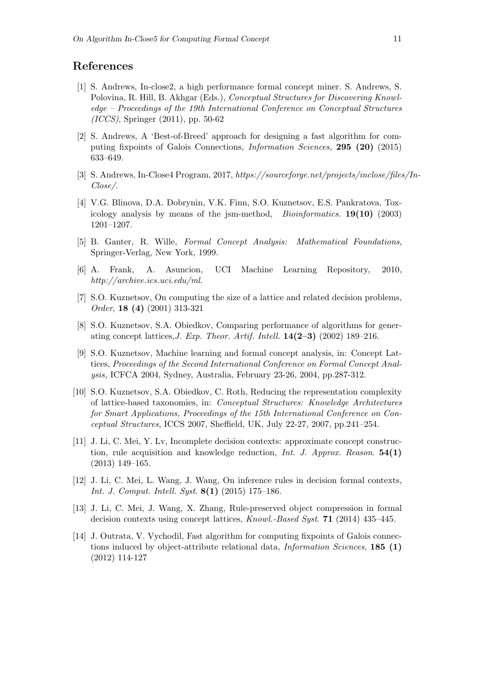## References

- <span id="page-10-2"></span>[1] S. Andrews, In-close2, a high performance formal concept miner. S. Andrews, S. Polovina, R. Hill, B. Akhgar (Eds.), Conceptual Structures for Discovering Knowledge – Proceedings of the 19th International Conference on Conceptual Structures (ICCS), Springer (2011), pp. 50-62
- <span id="page-10-3"></span>[2] S. Andrews, A 'Best-of-Breed' approach for designing a fast algorithm for computing fixpoints of Galois Connections, Information Sciences, 295 (20) (2015) 633–649.
- <span id="page-10-10"></span>[3] S. Andrews, In-Close4 Program, 2017, https://sourceforge.net/projects/inclose/files/In-Close/.
- <span id="page-10-0"></span>[4] V.G. Blinova, D.A. Dobrynin, V.K. Finn, S.O. Kuznetsov, E.S. Pankratova, Toxicology analysis by means of the jsm-method, *Bioinformatics*. **19(10)** (2003) 1201–1207.
- <span id="page-10-11"></span>[5] B. Ganter, R. Wille, Formal Concept Analysis: Mathematical Foundations, Springer-Verlag, New York, 1999.
- <span id="page-10-12"></span>[6] A. Frank, A. Asuncion, UCI Machine Learning Repository, 2010, http://archive.ics.uci.edu/ml.
- <span id="page-10-9"></span>[7] S.O. Kuznetsov, On computing the size of a lattice and related decision problems, Order, 18 (4) (2001) 313-321
- <span id="page-10-4"></span>[8] S.O. Kuznetsov, S.A. Obiedkov, Comparing performance of algorithms for generating concept lattices, J. Exp. Theor. Artif. Intell.  $14(2-3)$  (2002) 189-216.
- <span id="page-10-1"></span>[9] S.O. Kuznetsov, Machine learning and formal concept analysis, in: Concept Lattices, Proceedings of the Second International Conference on Formal Concept Analysis, ICFCA 2004, Sydney, Australia, February 23-26, 2004, pp.287-312.
- <span id="page-10-8"></span>[10] S.O. Kuznetsov, S.A. Obiedkov, C. Roth, Reducing the representation complexity of lattice-based taxonomies, in: Conceptual Structures: Knowledge Architectures for Smart Applications, Proceedings of the 15th International Conference on Conceptual Structures, ICCS 2007, Sheffield, UK, July 22-27, 2007, pp.241–254.
- <span id="page-10-6"></span>[11] J. Li, C. Mei, Y. Lv, Incomplete decision contexts: approximate concept construction, rule acquisition and knowledge reduction, *Int. J. Approx. Reason.*  $54(1)$ (2013) 149–165.
- [12] J. Li, C. Mei, L. Wang, J. Wang, On inference rules in decision formal contexts, Int. J. Comput. Intell. Syst.  $8(1)$  (2015) 175–186.
- <span id="page-10-7"></span>[13] J. Li, C. Mei, J. Wang, X. Zhang, Rule-preserved object compression in formal decision contexts using concept lattices, Knowl.-Based Syst. 71 (2014) 435–445.
- <span id="page-10-5"></span>[14] J. Outrata, V. Vychodil, Fast algorithm for computing fixpoints of Galois connections induced by object-attribute relational data, *Information Sciences*, **185** (1) (2012) 114-127